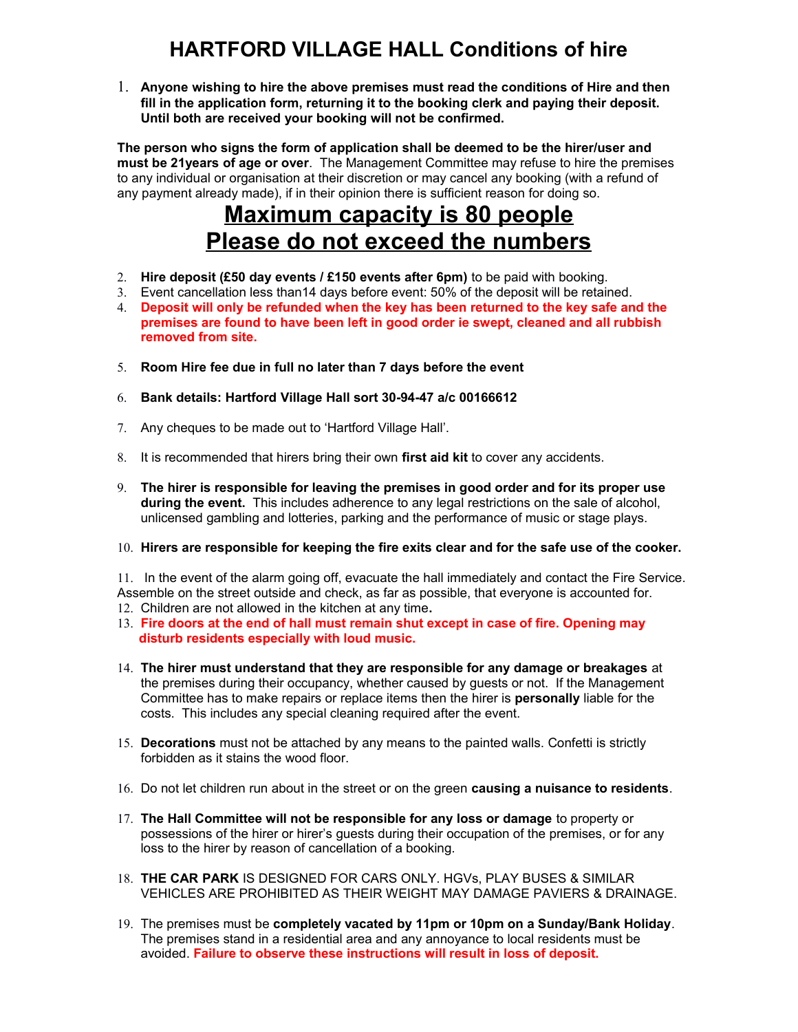## **HARTFORD VILLAGE HALL Conditions of hire**

1. **Anyone wishing to hire the above premises must read the conditions of Hire and then fill in the application form, returning it to the booking clerk and paying their deposit. Until both are received your booking will not be confirmed.**

**The person who signs the form of application shall be deemed to be the hirer/user and must be 21years of age or over**. The Management Committee may refuse to hire the premises to any individual or organisation at their discretion or may cancel any booking (with a refund of any payment already made), if in their opinion there is sufficient reason for doing so.

## **Maximum capacity is 80 people Please do not exceed the numbers**

- 2. **Hire deposit (£50 day events / £150 events after 6pm)** to be paid with booking.
- 3. Event cancellation less than14 days before event: 50% of the deposit will be retained.
- 4. **Deposit will only be refunded when the key has been returned to the key safe and the premises are found to have been left in good order ie swept, cleaned and all rubbish removed from site.**
- 5. **Room Hire fee due in full no later than 7 days before the event**
- 6. **Bank details: Hartford Village Hall sort 30-94-47 a/c 00166612**
- 7. Any cheques to be made out to 'Hartford Village Hall'.
- 8. It is recommended that hirers bring their own **first aid kit** to cover any accidents.
- 9. **The hirer is responsible for leaving the premises in good order and for its proper use during the event.** This includes adherence to any legal restrictions on the sale of alcohol, unlicensed gambling and lotteries, parking and the performance of music or stage plays.
- 10. **Hirers are responsible for keeping the fire exits clear and for the safe use of the cooker.**

11. In the event of the alarm going off, evacuate the hall immediately and contact the Fire Service. Assemble on the street outside and check, as far as possible, that everyone is accounted for.

- 12. Children are not allowed in the kitchen at any time**.**
- 13. **Fire doors at the end of hall must remain shut except in case of fire. Opening may disturb residents especially with loud music.**
- 14. **The hirer must understand that they are responsible for any damage or breakages** at the premises during their occupancy, whether caused by guests or not. If the Management Committee has to make repairs or replace items then the hirer is **personally** liable for the costs. This includes any special cleaning required after the event.
- 15. **Decorations** must not be attached by any means to the painted walls. Confetti is strictly forbidden as it stains the wood floor.
- 16. Do not let children run about in the street or on the green **causing a nuisance to residents**.
- 17. **The Hall Committee will not be responsible for any loss or damage** to property or possessions of the hirer or hirer's guests during their occupation of the premises, or for any loss to the hirer by reason of cancellation of a booking.
- 18. **THE CAR PARK** IS DESIGNED FOR CARS ONLY. HGVs, PLAY BUSES & SIMILAR VEHICLES ARE PROHIBITED AS THEIR WEIGHT MAY DAMAGE PAVIERS & DRAINAGE.
- 19. The premises must be **completely vacated by 11pm or 10pm on a Sunday/Bank Holiday**. The premises stand in a residential area and any annoyance to local residents must be avoided. **Failure to observe these instructions will result in loss of deposit.**